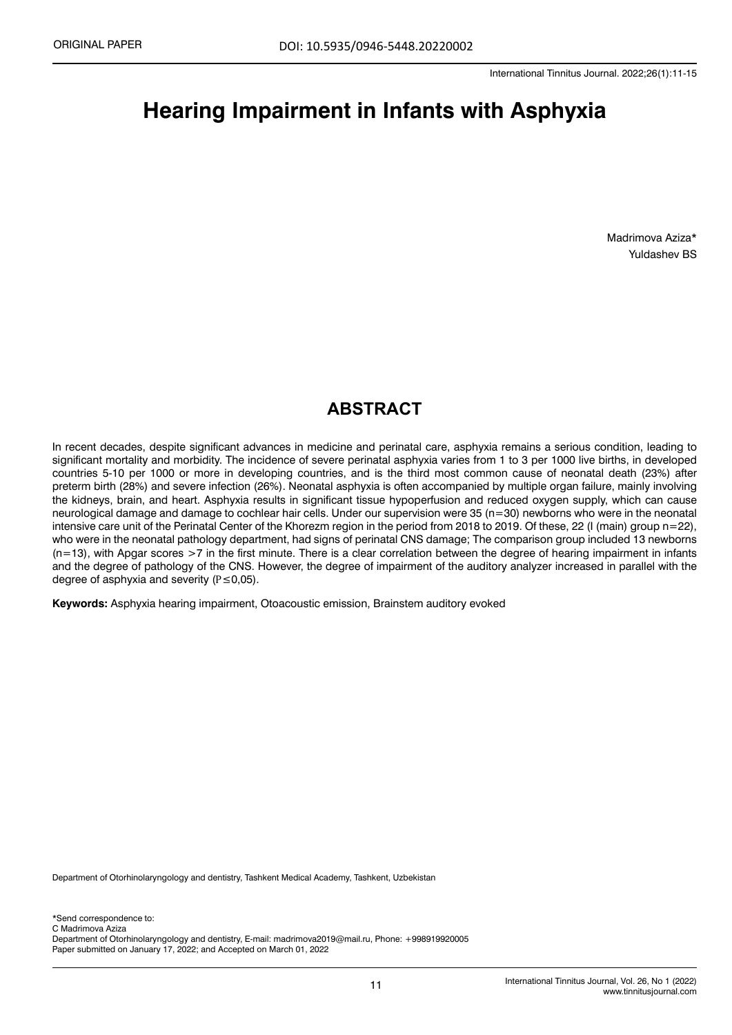# **Hearing Impairment in Infants with Asphyxia**

Madrimova Aziza\* Yuldashev BS

# **ABSTRACT**

In recent decades, despite significant advances in medicine and perinatal care, asphyxia remains a serious condition, leading to significant mortality and morbidity. The incidence of severe perinatal asphyxia varies from 1 to 3 per 1000 live births, in developed countries 5-10 per 1000 or more in developing countries, and is the third most common cause of neonatal death (23%) after preterm birth (28%) and severe infection (26%). Neonatal asphyxia is often accompanied by multiple organ failure, mainly involving the kidneys, brain, and heart. Asphyxia results in significant tissue hypoperfusion and reduced oxygen supply, which can cause neurological damage and damage to cochlear hair cells. Under our supervision were 35 (n=30) newborns who were in the neonatal intensive care unit of the Perinatal Center of the Khorezm region in the period from 2018 to 2019. Of these, 22 (I (main) group n=22), who were in the neonatal pathology department, had signs of perinatal CNS damage; The comparison group included 13 newborns (n=13), with Apgar scores >7 in the first minute. There is a clear correlation between the degree of hearing impairment in infants and the degree of pathology of the CNS. However, the degree of impairment of the auditory analyzer increased in parallel with the degree of asphyxia and severity (P≤0,05).

**Keywords:** Asphyxia hearing impairment, Otoacoustic emission, Brainstem auditory evoked

Department of Otorhinolaryngology and dentistry, Tashkent Medical Academy, Tashkent, Uzbekistan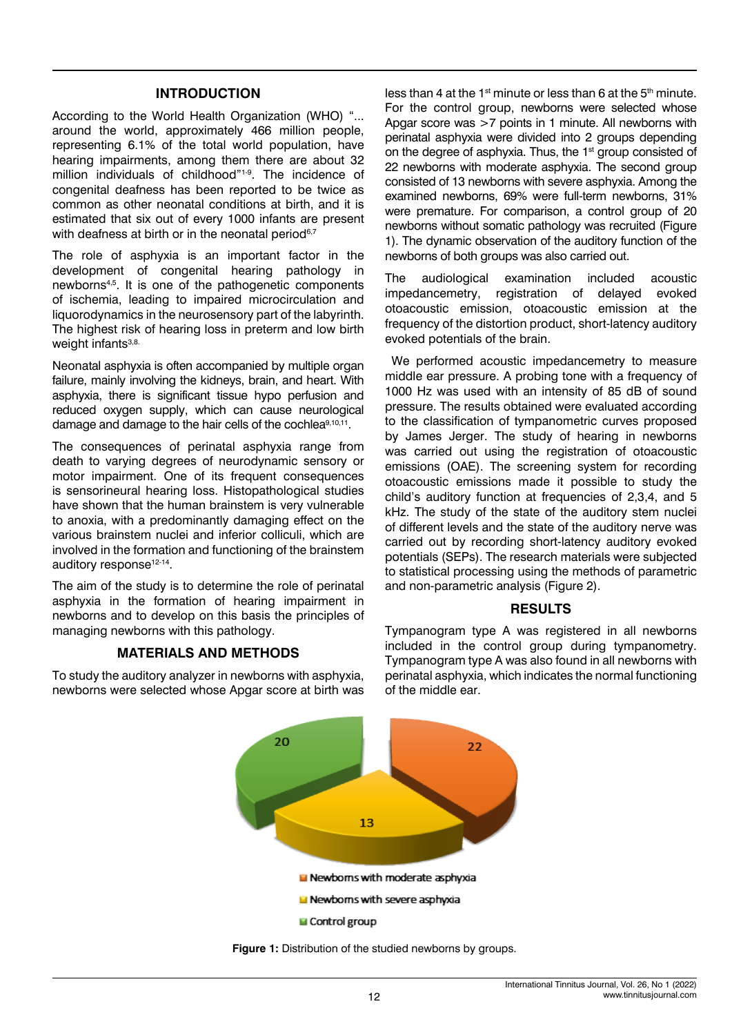#### **INTRODUCTION**

According to the World Health Organization (WHO) "... around the world, approximately 466 million people, representing 6.1% of the total world population, have hearing impairments, among them there are about 32 million individuals of childhood"1-9. The incidence of congenital deafness has been reported to be twice as common as other neonatal conditions at birth, and it is estimated that six out of every 1000 infants are present with deafness at birth or in the neonatal period<sup>6,7</sup>

The role of asphyxia is an important factor in the development of congenital hearing pathology in newborns4,5. It is one of the pathogenetic components of ischemia, leading to impaired microcirculation and liquorodynamics in the neurosensory part of the labyrinth. The highest risk of hearing loss in preterm and low birth weight infants<sup>3,8.</sup>

Neonatal asphyxia is often accompanied by multiple organ failure, mainly involving the kidneys, brain, and heart. With asphyxia, there is significant tissue hypo perfusion and reduced oxygen supply, which can cause neurological damage and damage to the hair cells of the cochlea<sup>9,10,11</sup>.

The consequences of perinatal asphyxia range from death to varying degrees of neurodynamic sensory or motor impairment. One of its frequent consequences is sensorineural hearing loss. Histopathological studies have shown that the human brainstem is very vulnerable to anoxia, with a predominantly damaging effect on the various brainstem nuclei and inferior colliculi, which are involved in the formation and functioning of the brainstem auditory response<sup>12-14</sup>.

The aim of the study is to determine the role of perinatal asphyxia in the formation of hearing impairment in newborns and to develop on this basis the principles of managing newborns with this pathology.

### **MATERIALS AND METHODS**

To study the auditory analyzer in newborns with asphyxia, newborns were selected whose Apgar score at birth was less than 4 at the 1<sup>st</sup> minute or less than 6 at the  $5<sup>th</sup>$  minute. For the control group, newborns were selected whose Apgar score was >7 points in 1 minute. All newborns with perinatal asphyxia were divided into 2 groups depending on the degree of asphyxia. Thus, the 1<sup>st</sup> group consisted of 22 newborns with moderate asphyxia. The second group consisted of 13 newborns with severe asphyxia. Among the examined newborns, 69% were full-term newborns, 31% were premature. For comparison, a control group of 20 newborns without somatic pathology was recruited (Figure 1). The dynamic observation of the auditory function of the newborns of both groups was also carried out.

The audiological examination included acoustic impedancemetry, registration of delayed evoked otoacoustic emission, otoacoustic emission at the frequency of the distortion product, short-latency auditory evoked potentials of the brain.

 We performed acoustic impedancemetry to measure middle ear pressure. A probing tone with a frequency of 1000 Hz was used with an intensity of 85 dB of sound pressure. The results obtained were evaluated according to the classification of tympanometric curves proposed by James Jerger. The study of hearing in newborns was carried out using the registration of otoacoustic emissions (OAE). The screening system for recording otoacoustic emissions made it possible to study the child's auditory function at frequencies of 2,3,4, and 5 kHz. The study of the state of the auditory stem nuclei of different levels and the state of the auditory nerve was carried out by recording short-latency auditory evoked potentials (SEPs). The research materials were subjected to statistical processing using the methods of parametric and non-parametric analysis (Figure 2).

#### **RESULTS**

Tympanogram type A was registered in all newborns included in the control group during tympanometry. Tympanogram type A was also found in all newborns with perinatal asphyxia, which indicates the normal functioning of the middle ear.



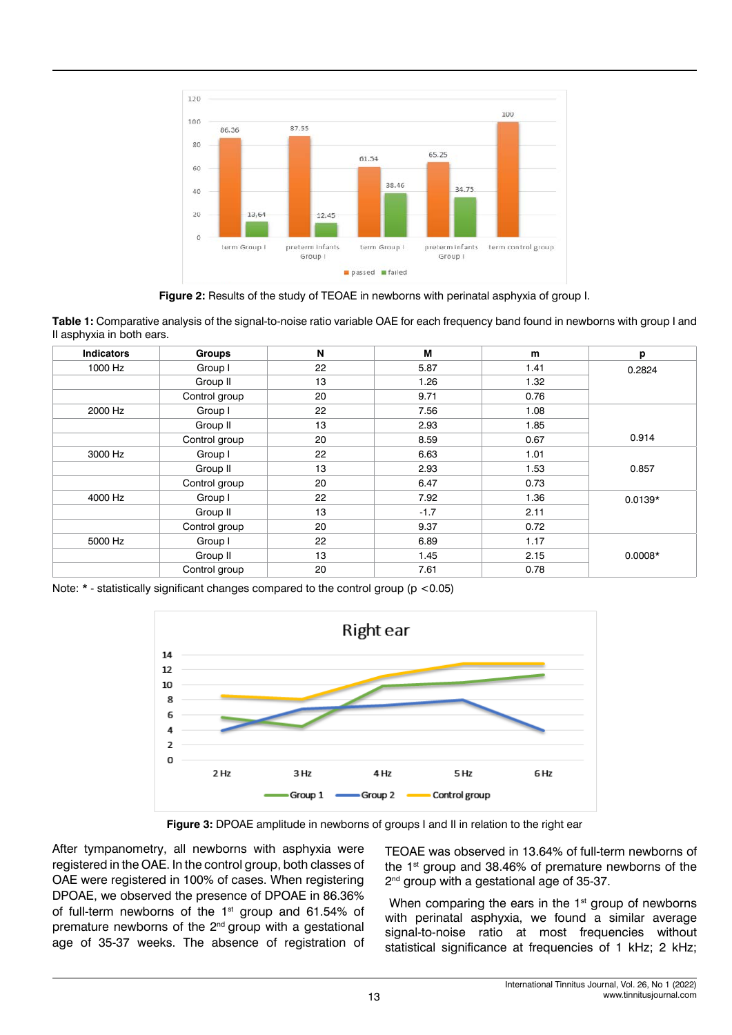

**Figure 2:** Results of the study of TEOAE in newborns with perinatal asphyxia of group I.

**Table 1:** Comparative analysis of the signal-to-noise ratio variable OAE for each frequency band found in newborns with group I and II asphyxia in both ears.

| <b>Indicators</b> | <b>Groups</b> | N  | М      | m    | р         |
|-------------------|---------------|----|--------|------|-----------|
| 1000 Hz           | Group I       | 22 | 5.87   | 1.41 | 0.2824    |
|                   | Group II      | 13 | 1.26   | 1.32 |           |
|                   | Control group | 20 | 9.71   | 0.76 |           |
| 2000 Hz           | Group I       | 22 | 7.56   | 1.08 |           |
|                   | Group II      | 13 | 2.93   | 1.85 | 0.914     |
|                   | Control group | 20 | 8.59   | 0.67 |           |
| 3000 Hz           | Group I       | 22 | 6.63   | 1.01 |           |
|                   | Group II      | 13 | 2.93   | 1.53 | 0.857     |
|                   | Control group | 20 | 6.47   | 0.73 |           |
| 4000 Hz           | Group I       | 22 | 7.92   | 1.36 | $0.0139*$ |
|                   | Group II      | 13 | $-1.7$ | 2.11 |           |
|                   | Control group | 20 | 9.37   | 0.72 |           |
| 5000 Hz           | Group I       | 22 | 6.89   | 1.17 |           |
|                   | Group II      | 13 | 1.45   | 2.15 | $0.0008*$ |
|                   | Control group | 20 | 7.61   | 0.78 |           |

Note: \* - statistically significant changes compared to the control group (p <0.05)



**Figure 3:** DPOAE amplitude in newborns of groups I and II in relation to the right ear

After tympanometry, all newborns with asphyxia were registered in the OAE. In the control group, both classes of OAE were registered in 100% of cases. When registering DPOAE, we observed the presence of DPOAE in 86.36% of full-term newborns of the 1<sup>st</sup> group and 61.54% of premature newborns of the 2<sup>nd</sup> group with a gestational age of 35-37 weeks. The absence of registration of

TEOAE was observed in 13.64% of full-term newborns of the 1<sup>st</sup> group and 38.46% of premature newborns of the 2<sup>nd</sup> group with a gestational age of 35-37.

When comparing the ears in the 1<sup>st</sup> group of newborns with perinatal asphyxia, we found a similar average signal-to-noise ratio at most frequencies without statistical significance at frequencies of 1 kHz; 2 kHz;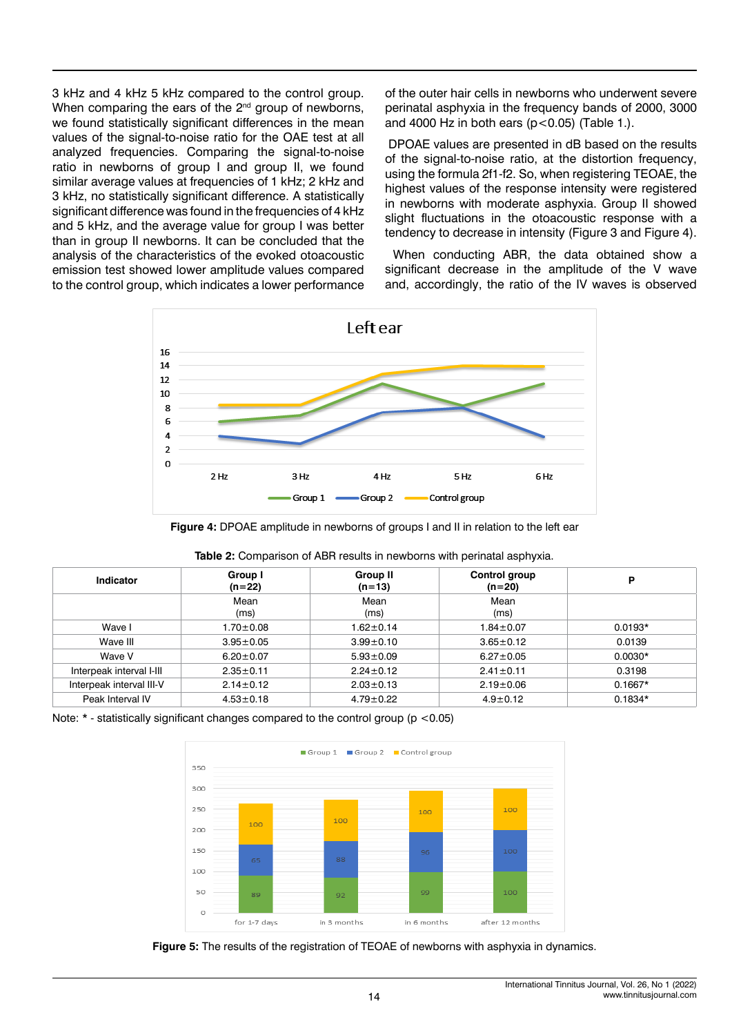3 kHz and 4 kHz 5 kHz compared to the control group. When comparing the ears of the 2<sup>nd</sup> group of newborns, we found statistically significant differences in the mean values of the signal-to-noise ratio for the OAE test at all analyzed frequencies. Comparing the signal-to-noise ratio in newborns of group I and group II, we found similar average values at frequencies of 1 kHz; 2 kHz and 3 kHz, no statistically significant difference. A statistically significant difference was found in the frequencies of 4 kHz and 5 kHz, and the average value for group I was better than in group II newborns. It can be concluded that the analysis of the characteristics of the evoked otoacoustic emission test showed lower amplitude values compared to the control group, which indicates a lower performance

of the outer hair cells in newborns who underwent severe perinatal asphyxia in the frequency bands of 2000, 3000 and 4000 Hz in both ears ( $p < 0.05$ ) (Table 1.).

 DPOAE values are presented in dB based on the results of the signal-to-noise ratio, at the distortion frequency, using the formula 2f1-f2. So, when registering TEOAE, the highest values of the response intensity were registered in newborns with moderate asphyxia. Group II showed slight fluctuations in the otoacoustic response with a tendency to decrease in intensity (Figure 3 and Figure 4).

 When conducting ABR, the data obtained show a significant decrease in the amplitude of the V wave and, accordingly, the ratio of the IV waves is observed



**Figure 4:** DPOAE amplitude in newborns of groups I and II in relation to the left ear

| Indicator                | Group I<br>$(n=22)$ | Group II<br>$(n=13)$ | Control group<br>$(n=20)$ | P         |
|--------------------------|---------------------|----------------------|---------------------------|-----------|
|                          | Mean<br>(ms)        | Mean<br>(ms)         | Mean<br>(ms)              |           |
| Wave I                   | $1.70 \pm 0.08$     | $1.62 \pm 0.14$      | $1.84 \pm 0.07$           | $0.0193*$ |
| Wave III                 | $3.95 \pm 0.05$     | $3.99 \pm 0.10$      | $3.65 \pm 0.12$           | 0.0139    |
| Wave V                   | $6.20 \pm 0.07$     | $5.93 \pm 0.09$      | $6.27 \pm 0.05$           | $0.0030*$ |
| Interpeak interval I-III | $2.35 \pm 0.11$     | $2.24 \pm 0.12$      | $2.41 \pm 0.11$           | 0.3198    |
| Interpeak interval III-V | $2.14 \pm 0.12$     | $2.03 \pm 0.13$      | $2.19 \pm 0.06$           | $0.1667*$ |
| Peak Interval IV         | $4.53 \pm 0.18$     | $4.79 \pm 0.22$      | $4.9 \pm 0.12$            | $0.1834*$ |

| Table 2: Comparison of ABR results in newborns with perinatal asphyxia. |  |
|-------------------------------------------------------------------------|--|
|-------------------------------------------------------------------------|--|

Note:  $*$  - statistically significant changes compared to the control group ( $p$  <0.05)